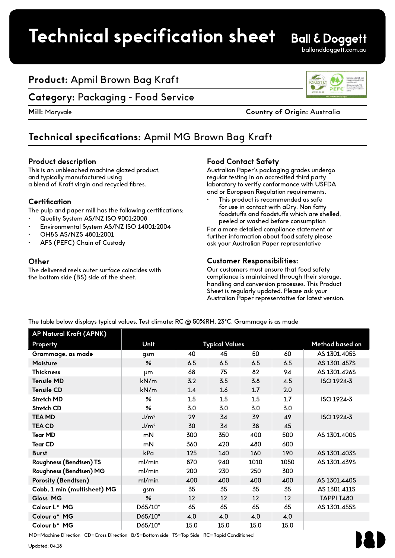## **Product:** Apmil Brown Bag Kraft

### **Category:** Packaging - Food Service

**Mill:** Maryvale **Country of Origin:** Australia

## **Technical specifications:** Apmil MG Brown Bag Kraft

#### **Product description**

This is an unbleached machine glazed product, and typically manufactured using a blend of Kraft virgin and recycled fibres.

#### **Certification**

The pulp and paper mill has the following certifications;

- Quality System AS/NZ ISO 9001:2008
- Environmental System AS/NZ ISO 14001:2004
- OH&S AS/NZS 4801:2001
- AFS (PEFC) Chain of Custody

#### **Other**

The delivered reels outer surface coincides with the bottom side (BS) side of the sheet.

#### **Food Contact Safety**

Australian Paper's packaging grades undergo regular testing in an accredited third party laboratory to verify conformance with USFDA and or European Regulation requirements.

This product is recommended as safe for use in contact with aDry, Non fatty foodstuffs and foodstuffs which are shelled, peeled or washed before consumption

For a more detailed compliance statement or further information about food safety please ask your Australian Paper representative

#### **Customer Responsibilities:**

Our customers must ensure that food safety compliance is maintained through their storage, handling and conversion processes. This Product Sheet is regularly updated. Please ask your Australian Paper representative for latest version.

The table below displays typical values. Test climate: RC @ 50%RH, 23°C. Grammage is as made

| AP Natural Kraft (APNK)     |                  |                       |      |      |      |                   |
|-----------------------------|------------------|-----------------------|------|------|------|-------------------|
| Property                    | Unit             | <b>Typical Values</b> |      |      |      | Method based on   |
| Grammage, as made           | gsm              | 40                    | 45   | 50   | 60   | AS 1301.405S      |
| Moisture                    | $\frac{9}{6}$    | 6.5                   | 6.5  | 6.5  | 6.5  | AS 1301.457S      |
| <b>Thickness</b>            | µm               | 68                    | 75   | 82   | 94   | AS 1301.426S      |
| <b>Tensile MD</b>           | kN/m             | 3.2                   | 3.5  | 3.8  | 4.5  | ISO 1924-3        |
| <b>Tensile CD</b>           | kN/m             | 1.4                   | 1.6  | 1.7  | 2.0  |                   |
| Stretch MD                  | ℅                | 1.5                   | 1.5  | 1.5  | 1.7  | ISO 1924-3        |
| Stretch CD                  | $\frac{6}{5}$    | 3.0                   | 3.0  | 3.0  | 3.0  |                   |
| <b>TEA MD</b>               | J/m <sup>2</sup> | 29                    | 34   | 39   | 49   | ISO 1924-3        |
| <b>TEA CD</b>               | J/m <sup>2</sup> | 30                    | 34   | 38   | 45   |                   |
| <b>Tear MD</b>              | mN               | 300                   | 350  | 400  | 500  | AS 1301.400S      |
| <b>Tear CD</b>              | mN               | 360                   | 420  | 480  | 600  |                   |
| <b>Burst</b>                | kPa              | 125                   | 140  | 160  | 190  | AS 1301.403S      |
| Roughness (Bendtsen) TS     | ml/min           | 870                   | 940  | 1010 | 1050 | AS 1301.439S      |
| Roughness (Bendtsen) MG     | ml/min           | 200                   | 230  | 250  | 300  |                   |
| Porosity (Bendtsen)         | ml/min           | 400                   | 400  | 400  | 400  | AS 1301.440S      |
| Cobb, 1 min (multisheet) MG | qsm              | 35                    | 35   | 35   | 35   | AS 1301.411S      |
| Gloss MG                    | $\frac{6}{5}$    | 12                    | 12   | 12   | 12   | <b>TAPPI T480</b> |
| Colour L* MG                | D65/10°          | 65                    | 65   | 65   | 65   | AS 1301.455S      |
| Colour a* MG                | D65/10°          | 4.0                   | 4.0  | 4.0  | 4.0  |                   |
| Colour b* MG                | D65/10°          | 15.0                  | 15.0 | 15.0 | 15.0 |                   |

MD=Machine Direction CD=Cross Direction B/S=Bottom side TS=Top Side RC=Rapid Conditioned

Updated: 04.18



**Ball & Doggett** ballanddoggett.com.au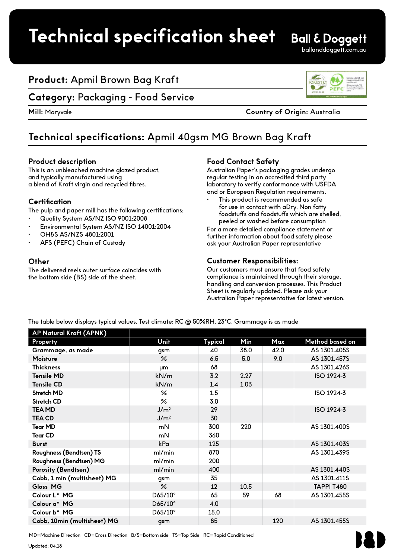## **Product:** Apmil Brown Bag Kraft

### **Category:** Packaging - Food Service

**Mill:** Maryvale **Country of Origin:** Australia

## **Technical specifications:** Apmil 40gsm MG Brown Bag Kraft

#### **Product description**

This is an unbleached machine glazed product, and typically manufactured using a blend of Kraft virgin and recycled fibres.

#### **Certification**

The pulp and paper mill has the following certifications;

- Quality System AS/NZ ISO 9001:2008
- Environmental System AS/NZ ISO 14001:2004
- OH&S AS/NZS 4801:2001
- AFS (PEFC) Chain of Custody

#### **Other**

The delivered reels outer surface coincides with the bottom side (BS) side of the sheet.

#### **Food Contact Safety**

Australian Paper's packaging grades undergo regular testing in an accredited third party laboratory to verify conformance with USFDA and or European Regulation requirements.

This product is recommended as safe for use in contact with aDry, Non fatty foodstuffs and foodstuffs which are shelled, peeled or washed before consumption

For a more detailed compliance statement or further information about food safety please ask your Australian Paper representative

#### **Customer Responsibilities:**

Our customers must ensure that food safety compliance is maintained through their storage, handling and conversion processes. This Product Sheet is regularly updated. Please ask your Australian Paper representative for latest version.

The table below displays typical values. Test climate: RC @ 50%RH, 23°C. Grammage is as made

| Unit             | Typical | Min  | Max  | Method based on   |
|------------------|---------|------|------|-------------------|
| gsm              | 40      | 38.0 | 42.0 | AS 1301.405S      |
| $\frac{9}{6}$    | 6.5     | 5.0  | 9.0  | AS 1301.457S      |
| μm               | 68      |      |      | AS 1301.426S      |
| kN/m             | 3.2     | 2.27 |      | ISO 1924-3        |
| kN/m             | 1.4     | 1.03 |      |                   |
| $\frac{9}{6}$    | 1.5     |      |      | ISO 1924-3        |
| ℅                | 3.0     |      |      |                   |
| J/m <sup>2</sup> | 29      |      |      | ISO 1924-3        |
| J/m <sup>2</sup> | 30      |      |      |                   |
| mN               | 300     | 220  |      | AS 1301.400S      |
| mN               | 360     |      |      |                   |
| kPa              | 125     |      |      | AS 1301.403S      |
| ml/min           | 870     |      |      | AS 1301.439S      |
| ml/min           | 200     |      |      |                   |
| ml/min           | 400     |      |      | AS 1301.440S      |
| gsm              | 35      |      |      | AS 1301.411S      |
| $\frac{9}{6}$    | 12      | 10.5 |      | <b>TAPPI T480</b> |
| D65/10°          | 65      | 59   | 68   | AS 1301.455S      |
| D65/10°          | 4.0     |      |      |                   |
| D65/10°          | 15.0    |      |      |                   |
| qsm              | 85      |      | 120  | AS 1301.455S      |
|                  |         |      |      |                   |

MD=Machine Direction CD=Cross Direction B/S=Bottom side TS=Top Side RC=Rapid Conditioned

Updated: 04.18



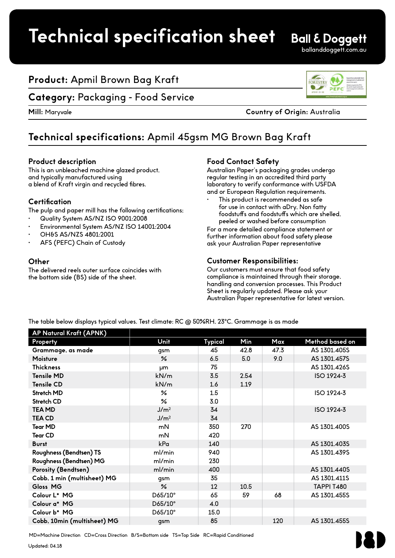## **Product:** Apmil Brown Bag Kraft

### **Category:** Packaging - Food Service

**Mill:** Maryvale **Country of Origin:** Australia

## **Technical specifications:** Apmil 45gsm MG Brown Bag Kraft

#### **Product description**

This is an unbleached machine glazed product, and typically manufactured using a blend of Kraft virgin and recycled fibres.

#### **Certification**

The pulp and paper mill has the following certifications;

- Quality System AS/NZ ISO 9001:2008
- Environmental System AS/NZ ISO 14001:2004
- OH&S AS/NZS 4801:2001
- AFS (PEFC) Chain of Custody

#### **Other**

The delivered reels outer surface coincides with the bottom side (BS) side of the sheet.

#### **Food Contact Safety**

Australian Paper's packaging grades undergo regular testing in an accredited third party laboratory to verify conformance with USFDA and or European Regulation requirements.

This product is recommended as safe for use in contact with aDry, Non fatty foodstuffs and foodstuffs which are shelled, peeled or washed before consumption

For a more detailed compliance statement or further information about food safety please ask your Australian Paper representative

#### **Customer Responsibilities:**

Our customers must ensure that food safety compliance is maintained through their storage, handling and conversion processes. This Product Sheet is regularly updated. Please ask your Australian Paper representative for latest version.

The table below displays typical values. Test climate: RC @ 50%RH, 23°C. Grammage is as made

| AP Natural Kraft (APNK)     |                  |         |      |      |                   |
|-----------------------------|------------------|---------|------|------|-------------------|
| Property                    | Unit             | Typical | Min  | Max  | Method based on   |
| Grammage, as made           | gsm              | 45      | 42.8 | 47.3 | AS 1301.405S      |
| Moisture                    | $\frac{9}{6}$    | 6.5     | 5.0  | 9.0  | AS 1301.457S      |
| <b>Thickness</b>            | μm               | 75      |      |      | AS 1301.426S      |
| <b>Tensile MD</b>           | kN/m             | 3.5     | 2.54 |      | ISO 1924-3        |
| <b>Tensile CD</b>           | kN/m             | 1.6     | 1.19 |      |                   |
| Stretch MD                  | $\frac{9}{6}$    | 1.5     |      |      | ISO 1924-3        |
| Stretch CD                  | ℅                | 3.0     |      |      |                   |
| <b>TEA MD</b>               | J/m <sup>2</sup> | 34      |      |      | ISO 1924-3        |
| <b>TEA CD</b>               | J/m <sup>2</sup> | 34      |      |      |                   |
| <b>Tear MD</b>              | mN               | 350     | 270  |      | AS 1301.400S      |
| <b>Tear CD</b>              | mN               | 420     |      |      |                   |
| <b>Burst</b>                | kPa              | 140     |      |      | AS 1301.403S      |
| Roughness (Bendtsen) TS     | ml/min           | 940     |      |      | AS 1301.439S      |
| Roughness (Bendtsen) MG     | ml/min           | 230     |      |      |                   |
| Porosity (Bendtsen)         | ml/min           | 400     |      |      | AS 1301.440S      |
| Cobb, 1 min (multisheet) MG | gsm              | 35      |      |      | AS 1301.411S      |
| Gloss MG                    | $\frac{9}{6}$    | 12      | 10.5 |      | <b>TAPPI T480</b> |
| Colour L* MG                | D65/10°          | 65      | 59   | 68   | AS 1301.455S      |
| Colour a* MG                | D65/10°          | 4.0     |      |      |                   |
| Colour b* MG                | D65/10°          | 15.0    |      |      |                   |
| Cobb, 10min (multisheet) MG | qsm              | 85      |      | 120  | AS 1301.455S      |

MD=Machine Direction CD=Cross Direction B/S=Bottom side TS=Top Side RC=Rapid Conditioned

Updated: 04.18





ballanddoggett.com.au

**Ball & Doggett**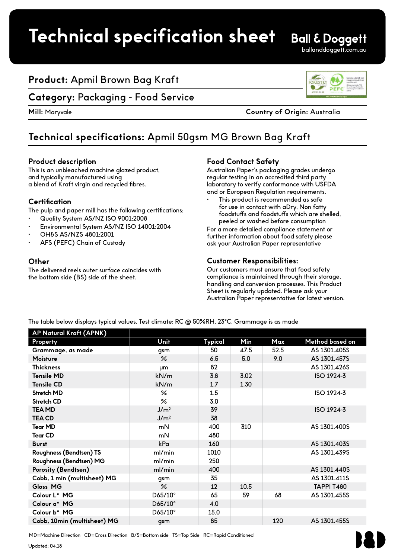## **Product:** Apmil Brown Bag Kraft

### **Category:** Packaging - Food Service

**Mill:** Maryvale **Country of Origin:** Australia

## **Technical specifications:** Apmil 50gsm MG Brown Bag Kraft

#### **Product description**

This is an unbleached machine glazed product, and typically manufactured using a blend of Kraft virgin and recycled fibres.

#### **Certification**

The pulp and paper mill has the following certifications;

- Quality System AS/NZ ISO 9001:2008
- Environmental System AS/NZ ISO 14001:2004
- OH&S AS/NZS 4801:2001
- AFS (PEFC) Chain of Custody

#### **Other**

The delivered reels outer surface coincides with the bottom side (BS) side of the sheet.

#### **Food Contact Safety**

Australian Paper's packaging grades undergo regular testing in an accredited third party laboratory to verify conformance with USFDA and or European Regulation requirements.

This product is recommended as safe for use in contact with aDry, Non fatty foodstuffs and foodstuffs which are shelled, peeled or washed before consumption

For a more detailed compliance statement or further information about food safety please ask your Australian Paper representative

#### **Customer Responsibilities:**

Our customers must ensure that food safety compliance is maintained through their storage, handling and conversion processes. This Product Sheet is regularly updated. Please ask your Australian Paper representative for latest version.

The table below displays typical values. Test climate: RC @ 50%RH, 23°C. Grammage is as made

| Unit             | Typical | Min  | Max  | Method based on   |
|------------------|---------|------|------|-------------------|
| gsm              | 50      | 47.5 | 52.5 | AS 1301.405S      |
| $\frac{9}{6}$    | 6.5     | 5.0  | 9.0  | AS 1301.457S      |
| μm               | 82      |      |      | AS 1301.426S      |
| kN/m             | 3.8     | 3.02 |      | ISO 1924-3        |
| kN/m             | 1.7     | 1.30 |      |                   |
| $\frac{9}{6}$    | 1.5     |      |      | ISO 1924-3        |
| ℅                | 3.0     |      |      |                   |
| J/m <sup>2</sup> | 39      |      |      | ISO 1924-3        |
| J/m <sup>2</sup> | 38      |      |      |                   |
| mN               | 400     | 310  |      | AS 1301.400S      |
| mN               | 480     |      |      |                   |
| kPa              | 160     |      |      | AS 1301.403S      |
| ml/min           | 1010    |      |      | AS 1301.439S      |
| ml/min           | 250     |      |      |                   |
| ml/min           | 400     |      |      | AS 1301.440S      |
| gsm              | 35      |      |      | AS 1301.411S      |
| $\frac{9}{6}$    | 12      | 10.5 |      | <b>TAPPI T480</b> |
| D65/10°          | 65      | 59   | 68   | AS 1301.455S      |
| D65/10°          | 4.0     |      |      |                   |
| D65/10°          | 15.0    |      |      |                   |
| qsm              | 85      |      | 120  | AS 1301.455S      |
|                  |         |      |      |                   |

MD=Machine Direction CD=Cross Direction B/S=Bottom side TS=Top Side RC=Rapid Conditioned

Updated: 04.18



**Ball & Doggett** ballanddoggett.com.au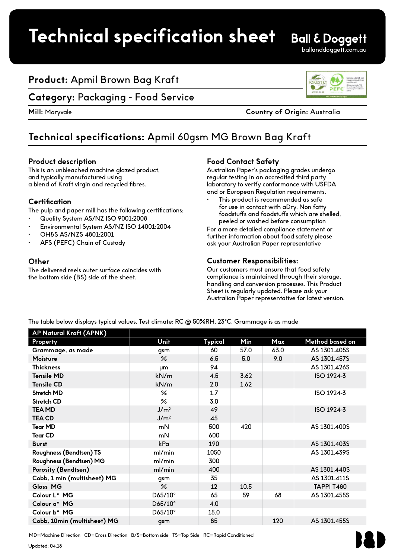## **Product:** Apmil Brown Bag Kraft

### **Category:** Packaging - Food Service

**Mill:** Maryvale **Country of Origin:** Australia

## **Technical specifications:** Apmil 60gsm MG Brown Bag Kraft

#### **Product description**

This is an unbleached machine glazed product, and typically manufactured using a blend of Kraft virgin and recycled fibres.

#### **Certification**

The pulp and paper mill has the following certifications;

- Quality System AS/NZ ISO 9001:2008
- Environmental System AS/NZ ISO 14001:2004
- OH&S AS/NZS 4801:2001
- AFS (PEFC) Chain of Custody

#### **Other**

The delivered reels outer surface coincides with the bottom side (BS) side of the sheet.

#### **Food Contact Safety**

Australian Paper's packaging grades undergo regular testing in an accredited third party laboratory to verify conformance with USFDA and or European Regulation requirements.

This product is recommended as safe for use in contact with aDry, Non fatty foodstuffs and foodstuffs which are shelled, peeled or washed before consumption

For a more detailed compliance statement or further information about food safety please ask your Australian Paper representative

#### **Customer Responsibilities:**

Our customers must ensure that food safety compliance is maintained through their storage, handling and conversion processes. This Product Sheet is regularly updated. Please ask your Australian Paper representative for latest version.

The table below displays typical values. Test climate: RC @ 50%RH, 23°C. Grammage is as made

| AP Natural Kraft (APNK)     |                  |                |      |      |                   |
|-----------------------------|------------------|----------------|------|------|-------------------|
| Property                    | Unit             | <b>Typical</b> | Min  | Max  | Method based on   |
| Grammage, as made           | qsm              | 60             | 57.0 | 63.0 | AS 1301.405S      |
| Moisture                    | $\%$             | 6.5            | 5.0  | 9.0  | AS 1301.457S      |
| <b>Thickness</b>            | μm               | 94             |      |      | AS 1301.426S      |
| <b>Tensile MD</b>           | kN/m             | 4.5            | 3.62 |      | ISO 1924-3        |
| <b>Tensile CD</b>           | kN/m             | 2.0            | 1.62 |      |                   |
| <b>Stretch MD</b>           | ℅                | 1.7            |      |      | ISO 1924-3        |
| Stretch CD                  | ℅                | 3.0            |      |      |                   |
| <b>TEA MD</b>               | J/m <sup>2</sup> | 49             |      |      | ISO 1924-3        |
| <b>TEA CD</b>               | J/m <sup>2</sup> | 45             |      |      |                   |
| <b>Tear MD</b>              | mN               | 500            | 420  |      | AS 1301.400S      |
| <b>Tear CD</b>              | mN               | 600            |      |      |                   |
| <b>Burst</b>                | kPa              | 190            |      |      | AS 1301.403S      |
| Roughness (Bendtsen) TS     | ml/min           | 1050           |      |      | AS 1301.439S      |
| Roughness (Bendtsen) MG     | ml/min           | 300            |      |      |                   |
| Porosity (Bendtsen)         | ml/min           | 400            |      |      | AS 1301.440S      |
| Cobb, 1 min (multisheet) MG | qsm              | 35             |      |      | AS 1301.411S      |
| Gloss MG                    | $\%$             | 12             | 10.5 |      | <b>TAPPI T480</b> |
| Colour L* MG                | D65/10°          | 65             | 59   | 68   | AS 1301.455S      |
| Colour a* MG                | D65/10°          | 4.0            |      |      |                   |
| Colour b* MG                | D65/10°          | 15.0           |      |      |                   |
| Cobb, 10min (multisheet) MG | gsm              | 85             |      | 120  | AS 1301.455S      |

MD=Machine Direction CD=Cross Direction B/S=Bottom side TS=Top Side RC=Rapid Conditioned

Updated: 04.18



**Ball & Doggett** ballanddoggett.com.au